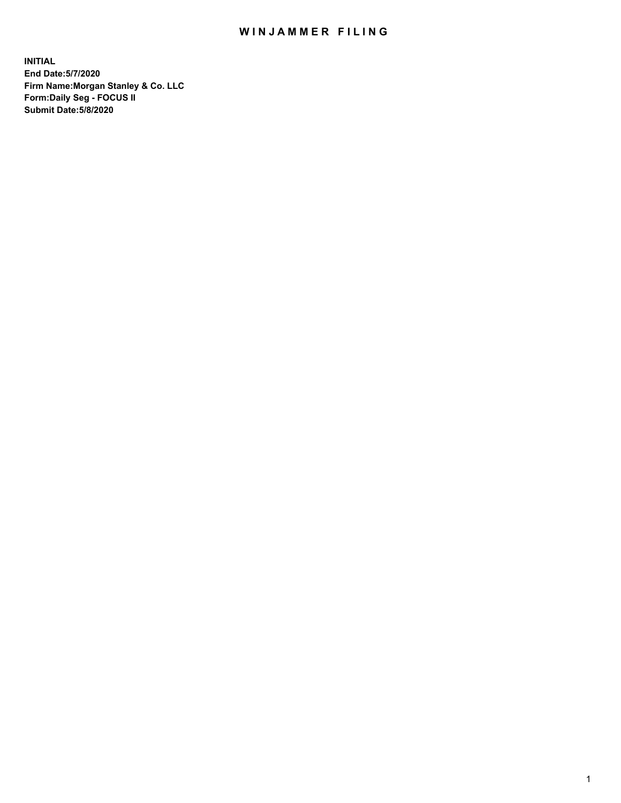## WIN JAMMER FILING

**INITIAL End Date:5/7/2020 Firm Name:Morgan Stanley & Co. LLC Form:Daily Seg - FOCUS II Submit Date:5/8/2020**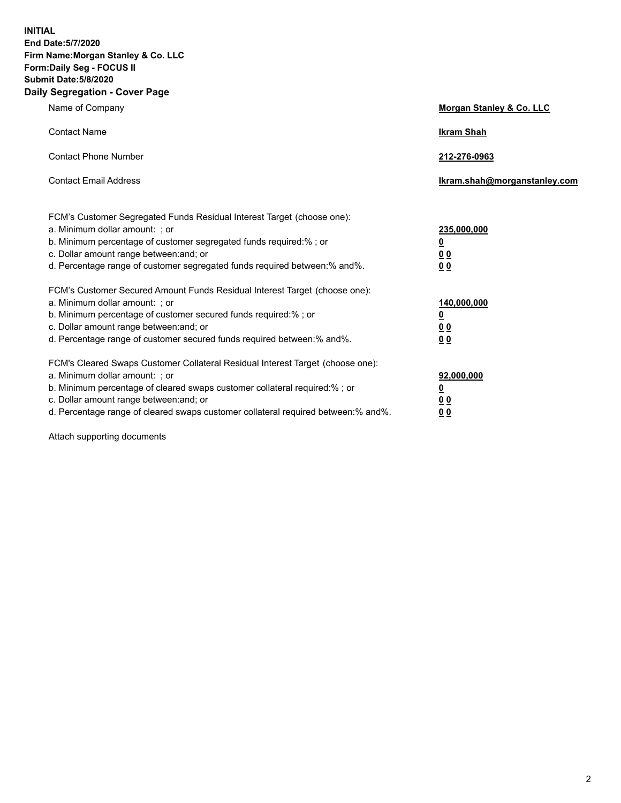**INITIAL End Date:5/7/2020 Firm Name:Morgan Stanley & Co. LLC Form:Daily Seg - FOCUS II Submit Date:5/8/2020 Daily Segregation - Cover Page**

| Name of Company                                                                                                                                                                                                                                                                                                                | Morgan Stanley & Co. LLC                                    |
|--------------------------------------------------------------------------------------------------------------------------------------------------------------------------------------------------------------------------------------------------------------------------------------------------------------------------------|-------------------------------------------------------------|
| <b>Contact Name</b>                                                                                                                                                                                                                                                                                                            | <b>Ikram Shah</b>                                           |
| <b>Contact Phone Number</b>                                                                                                                                                                                                                                                                                                    | 212-276-0963                                                |
| <b>Contact Email Address</b>                                                                                                                                                                                                                                                                                                   | lkram.shah@morganstanley.com                                |
| FCM's Customer Segregated Funds Residual Interest Target (choose one):<br>a. Minimum dollar amount: ; or<br>b. Minimum percentage of customer segregated funds required:% ; or<br>c. Dollar amount range between: and; or<br>d. Percentage range of customer segregated funds required between: % and %.                       | 235,000,000<br><u>0</u><br><u>00</u><br>0 Q                 |
| FCM's Customer Secured Amount Funds Residual Interest Target (choose one):<br>a. Minimum dollar amount: : or<br>b. Minimum percentage of customer secured funds required:%; or<br>c. Dollar amount range between: and; or<br>d. Percentage range of customer secured funds required between:% and%.                            | 140,000,000<br><u>0</u><br>0 <sub>0</sub><br>0 <sub>0</sub> |
| FCM's Cleared Swaps Customer Collateral Residual Interest Target (choose one):<br>a. Minimum dollar amount: ; or<br>b. Minimum percentage of cleared swaps customer collateral required:% ; or<br>c. Dollar amount range between: and; or<br>d. Percentage range of cleared swaps customer collateral required between:% and%. | 92,000,000<br><u>0</u><br>0 Q<br>0 <sub>0</sub>             |

Attach supporting documents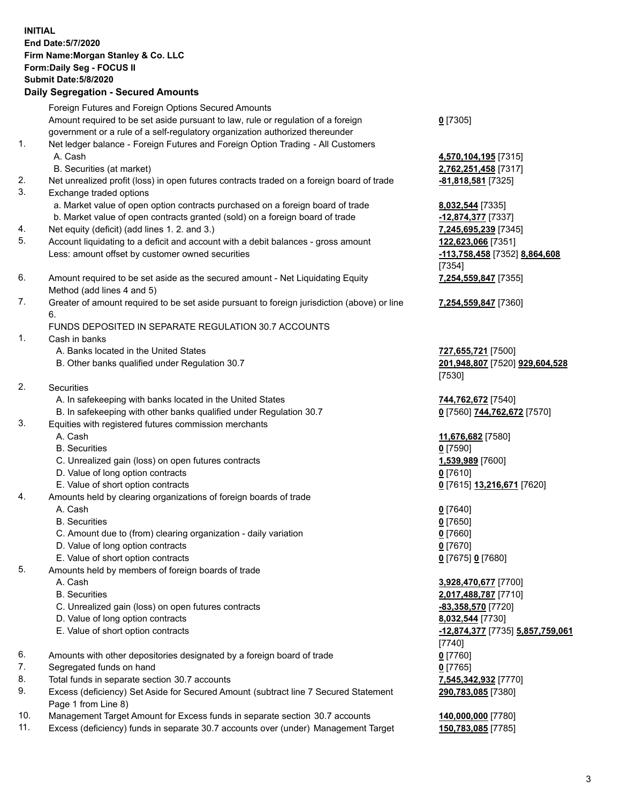| <b>INITIAL</b> | End Date: 5/7/2020<br>Firm Name: Morgan Stanley & Co. LLC<br>Form: Daily Seg - FOCUS II<br><b>Submit Date: 5/8/2020</b><br><b>Daily Segregation - Secured Amounts</b> |                                                     |
|----------------|-----------------------------------------------------------------------------------------------------------------------------------------------------------------------|-----------------------------------------------------|
|                | Foreign Futures and Foreign Options Secured Amounts<br>Amount required to be set aside pursuant to law, rule or regulation of a foreign                               | $0$ [7305]                                          |
|                | government or a rule of a self-regulatory organization authorized thereunder                                                                                          |                                                     |
| 1.             | Net ledger balance - Foreign Futures and Foreign Option Trading - All Customers<br>A. Cash                                                                            | 4,570,104,195 [7315]                                |
| 2.             | B. Securities (at market)<br>Net unrealized profit (loss) in open futures contracts traded on a foreign board of trade                                                | 2,762,251,458 [7317]<br><b>-81,818,581</b> [7325]   |
| 3.             | Exchange traded options                                                                                                                                               |                                                     |
|                | a. Market value of open option contracts purchased on a foreign board of trade<br>b. Market value of open contracts granted (sold) on a foreign board of trade        | 8,032,544 [7335]<br>-12,874,377 [7337]              |
| 4.             | Net equity (deficit) (add lines 1.2. and 3.)                                                                                                                          | 7,245,695,239 [7345]                                |
| 5.             | Account liquidating to a deficit and account with a debit balances - gross amount<br>Less: amount offset by customer owned securities                                 | 122,623,066 [7351]<br>-113,758,458 [7352] 8,864,608 |
|                |                                                                                                                                                                       | [7354]                                              |
| 6.             | Amount required to be set aside as the secured amount - Net Liquidating Equity<br>Method (add lines 4 and 5)                                                          | 7,254,559,847 [7355]                                |
| 7.             | Greater of amount required to be set aside pursuant to foreign jurisdiction (above) or line<br>6.                                                                     | 7,254,559,847 [7360]                                |
|                | FUNDS DEPOSITED IN SEPARATE REGULATION 30.7 ACCOUNTS                                                                                                                  |                                                     |
| 1.             | Cash in banks                                                                                                                                                         |                                                     |
|                | A. Banks located in the United States                                                                                                                                 | 727,655,721 [7500]                                  |
|                | B. Other banks qualified under Regulation 30.7                                                                                                                        | 201,948,807 [7520] 929,604,528<br>[7530]            |
| 2.             | <b>Securities</b>                                                                                                                                                     |                                                     |
|                | A. In safekeeping with banks located in the United States                                                                                                             | 744,762,672 [7540]                                  |
| 3.             | B. In safekeeping with other banks qualified under Regulation 30.7<br>Equities with registered futures commission merchants                                           | 0 [7560] 744,762,672 [7570]                         |
|                | A. Cash                                                                                                                                                               | 11,676,682 [7580]                                   |
|                | <b>B.</b> Securities                                                                                                                                                  | $0$ [7590]                                          |
|                | C. Unrealized gain (loss) on open futures contracts                                                                                                                   | 1,539,989 [7600]                                    |
|                | D. Value of long option contracts                                                                                                                                     | <u>0</u> [7610]                                     |
|                | E. Value of short option contracts                                                                                                                                    | 0 [7615] 13,216,671 [7620]                          |
| 4.             | Amounts held by clearing organizations of foreign boards of trade                                                                                                     |                                                     |
|                | A. Cash                                                                                                                                                               | $0$ [7640]                                          |
|                | <b>B.</b> Securities                                                                                                                                                  | $0$ [7650]                                          |
|                | C. Amount due to (from) clearing organization - daily variation                                                                                                       | $0$ [7660]                                          |
|                | D. Value of long option contracts                                                                                                                                     | $0$ [7670]                                          |
|                | E. Value of short option contracts                                                                                                                                    | 0 [7675] 0 [7680]                                   |
| 5.             | Amounts held by members of foreign boards of trade                                                                                                                    |                                                     |
|                | A. Cash                                                                                                                                                               | 3,928,470,677 [7700]                                |
|                | <b>B.</b> Securities                                                                                                                                                  | 2,017,488,787 [7710]                                |
|                | C. Unrealized gain (loss) on open futures contracts<br>D. Value of long option contracts                                                                              | -83,358,570 [7720]<br>8,032,544 [7730]              |
|                | E. Value of short option contracts                                                                                                                                    | <u>-12,874,377</u> [7735] 5,857,759,061             |
|                |                                                                                                                                                                       | [7740]                                              |
| 6.             | Amounts with other depositories designated by a foreign board of trade                                                                                                | $0$ [7760]                                          |
| 7.             | Segregated funds on hand                                                                                                                                              | $0$ [7765]                                          |
| 8.             | Total funds in separate section 30.7 accounts                                                                                                                         | 7,545,342,932 [7770]                                |
| 9.             | Excess (deficiency) Set Aside for Secured Amount (subtract line 7 Secured Statement                                                                                   | 290,783,085 [7380]                                  |
| 10.            | Page 1 from Line 8)<br>Management Target Amount for Excess funds in separate section 30.7 accounts                                                                    | 140,000,000 [7780]                                  |
| 11.            | Excess (deficiency) funds in separate 30.7 accounts over (under) Management Target                                                                                    | 150,783,085 [7785]                                  |
|                |                                                                                                                                                                       |                                                     |

3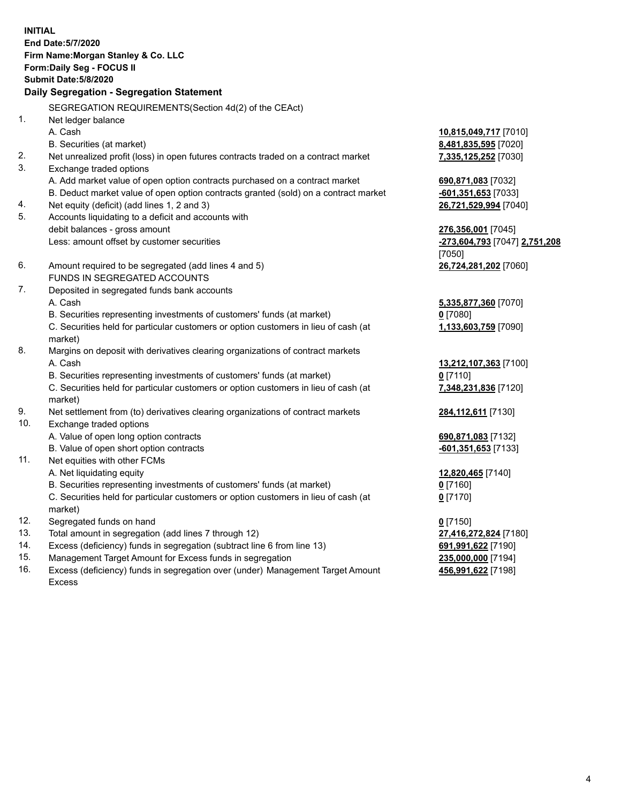**INITIAL End Date:5/7/2020 Firm Name:Morgan Stanley & Co. LLC Form:Daily Seg - FOCUS II Submit Date:5/8/2020 Daily Segregation - Segregation Statement** SEGREGATION REQUIREMENTS(Section 4d(2) of the CEAct) 1. Net ledger balance A. Cash **10,815,049,717** [7010] B. Securities (at market) **8,481,835,595** [7020] 2. Net unrealized profit (loss) in open futures contracts traded on a contract market **7,335,125,252** [7030] 3. Exchange traded options A. Add market value of open option contracts purchased on a contract market **690,871,083** [7032] B. Deduct market value of open option contracts granted (sold) on a contract market **-601,351,653** [7033] 4. Net equity (deficit) (add lines 1, 2 and 3) **26,721,529,994** [7040] 5. Accounts liquidating to a deficit and accounts with debit balances - gross amount **276,356,001** [7045] Less: amount offset by customer securities **-273,604,793** [7047] **2,751,208** [7050] 6. Amount required to be segregated (add lines 4 and 5) **26,724,281,202** [7060] FUNDS IN SEGREGATED ACCOUNTS 7. Deposited in segregated funds bank accounts A. Cash **5,335,877,360** [7070] B. Securities representing investments of customers' funds (at market) **0** [7080] C. Securities held for particular customers or option customers in lieu of cash (at market) **1,133,603,759** [7090] 8. Margins on deposit with derivatives clearing organizations of contract markets A. Cash **13,212,107,363** [7100] B. Securities representing investments of customers' funds (at market) **0** [7110] C. Securities held for particular customers or option customers in lieu of cash (at market) **7,348,231,836** [7120] 9. Net settlement from (to) derivatives clearing organizations of contract markets **284,112,611** [7130] 10. Exchange traded options A. Value of open long option contracts **690,871,083** [7132] B. Value of open short option contracts **-601,351,653** [7133] 11. Net equities with other FCMs A. Net liquidating equity **12,820,465** [7140] B. Securities representing investments of customers' funds (at market) **0** [7160] C. Securities held for particular customers or option customers in lieu of cash (at market) **0** [7170] 12. Segregated funds on hand **0** [7150] 13. Total amount in segregation (add lines 7 through 12) **27,416,272,824** [7180] 14. Excess (deficiency) funds in segregation (subtract line 6 from line 13) **691,991,622** [7190] 15. Management Target Amount for Excess funds in segregation **235,000,000** [7194]

16. Excess (deficiency) funds in segregation over (under) Management Target Amount Excess

**456,991,622** [7198]